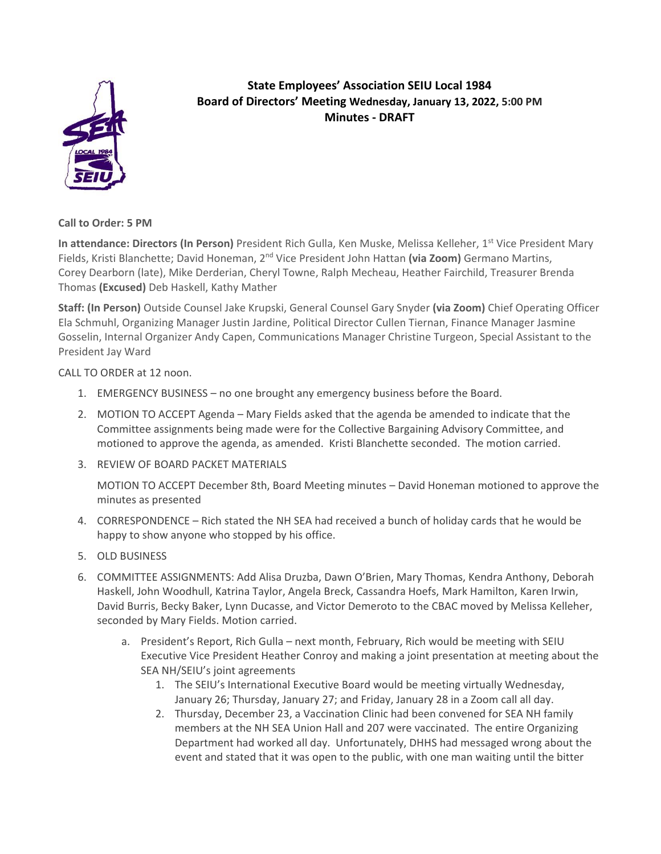

## **State Employees' Association SEIU Local 1984 Board of Directors' Meeting Wednesday, January 13, 2022, 5:00 PM Minutes - DRAFT**

**Call to Order: 5 PM**

**In attendance: Directors (In Person)** President Rich Gulla, Ken Muske, Melissa Kelleher, 1st Vice President Mary Fields, Kristi Blanchette; David Honeman, 2nd Vice President John Hattan **(via Zoom)** Germano Martins, Corey Dearborn (late), Mike Derderian, Cheryl Towne, Ralph Mecheau, Heather Fairchild, Treasurer Brenda Thomas **(Excused)** Deb Haskell, Kathy Mather

**Staff: (In Person)** Outside Counsel Jake Krupski, General Counsel Gary Snyder **(via Zoom)** Chief Operating Officer Ela Schmuhl, Organizing Manager Justin Jardine, Political Director Cullen Tiernan, Finance Manager Jasmine Gosselin, Internal Organizer Andy Capen, Communications Manager Christine Turgeon, Special Assistant to the President Jay Ward

CALL TO ORDER at 12 noon.

- 1. EMERGENCY BUSINESS no one brought any emergency business before the Board.
- 2. MOTION TO ACCEPT Agenda Mary Fields asked that the agenda be amended to indicate that the Committee assignments being made were for the Collective Bargaining Advisory Committee, and motioned to approve the agenda, as amended. Kristi Blanchette seconded. The motion carried.
- 3. REVIEW OF BOARD PACKET MATERIALS

MOTION TO ACCEPT December 8th, Board Meeting minutes – David Honeman motioned to approve the minutes as presented

- 4. CORRESPONDENCE Rich stated the NH SEA had received a bunch of holiday cards that he would be happy to show anyone who stopped by his office.
- 5. OLD BUSINESS
- 6. COMMITTEE ASSIGNMENTS: Add Alisa Druzba, Dawn O'Brien, Mary Thomas, Kendra Anthony, Deborah Haskell, John Woodhull, Katrina Taylor, Angela Breck, Cassandra Hoefs, Mark Hamilton, Karen Irwin, David Burris, Becky Baker, Lynn Ducasse, and Victor Demeroto to the CBAC moved by Melissa Kelleher, seconded by Mary Fields. Motion carried.
	- a. President's Report, Rich Gulla next month, February, Rich would be meeting with SEIU Executive Vice President Heather Conroy and making a joint presentation at meeting about the SEA NH/SEIU's joint agreements
		- 1. The SEIU's International Executive Board would be meeting virtually Wednesday, January 26; Thursday, January 27; and Friday, January 28 in a Zoom call all day.
		- 2. Thursday, December 23, a Vaccination Clinic had been convened for SEA NH family members at the NH SEA Union Hall and 207 were vaccinated. The entire Organizing Department had worked all day. Unfortunately, DHHS had messaged wrong about the event and stated that it was open to the public, with one man waiting until the bitter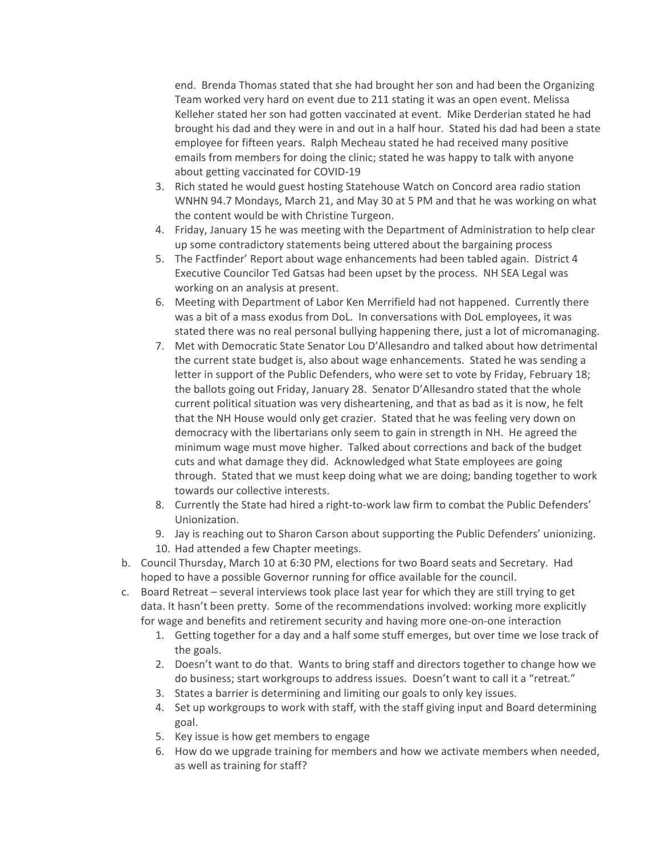end. Brenda Thomas stated that she had brought her son and had been the Organizing Team worked very hard on event due to 211 stating it was an open event. Melissa Kelleher stated her son had gotten vaccinated at event. Mike Derderian stated he had brought his dad and they were in and out in a half hour. Stated his dad had been a state employee for fifteen years. Ralph Mecheau stated he had received many positive emails from members for doing the clinic; stated he was happy to talk with anyone about getting vaccinated for COVID-19

- 3. Rich stated he would guest hosting Statehouse Watch on Concord area radio station WNHN 94.7 Mondays, March 21, and May 30 at 5 PM and that he was working on what the content would be with Christine Turgeon.
- 4. Friday, January 15 he was meeting with the Department of Administration to help clear up some contradictory statements being uttered about the bargaining process
- 5. The Factfinder' Report about wage enhancements had been tabled again. District 4 Executive Councilor Ted Gatsas had been upset by the process. NH SEA Legal was working on an analysis at present.
- 6. Meeting with Department of Labor Ken Merrifield had not happened. Currently there was a bit of a mass exodus from DoL. In conversations with DoL employees, it was stated there was no real personal bullying happening there, just a lot of micromanaging.
- 7. Met with Democratic State Senator Lou D'Allesandro and talked about how detrimental the current state budget is, also about wage enhancements. Stated he was sending a letter in support of the Public Defenders, who were set to vote by Friday, February 18; the ballots going out Friday, January 28. Senator D'Allesandro stated that the whole current political situation was very disheartening, and that as bad as it is now, he felt that the NH House would only get crazier. Stated that he was feeling very down on democracy with the libertarians only seem to gain in strength in NH. He agreed the minimum wage must move higher. Talked about corrections and back of the budget cuts and what damage they did. Acknowledged what State employees are going through. Stated that we must keep doing what we are doing; banding together to work towards our collective interests.
- 8. Currently the State had hired a right-to-work law firm to combat the Public Defenders' Unionization.
- 9. Jay is reaching out to Sharon Carson about supporting the Public Defenders' unionizing.
- 10. Had attended a few Chapter meetings.
- b. Council Thursday, March 10 at 6:30 PM, elections for two Board seats and Secretary. Had hoped to have a possible Governor running for office available for the council.
- c. Board Retreat several interviews took place last year for which they are still trying to get data. It hasn't been pretty. Some of the recommendations involved: working more explicitly for wage and benefits and retirement security and having more one-on-one interaction
	- 1. Getting together for a day and a half some stuff emerges, but over time we lose track of the goals.
	- 2. Doesn't want to do that. Wants to bring staff and directors together to change how we do business; start workgroups to address issues. Doesn't want to call it a "retreat."
	- 3. States a barrier is determining and limiting our goals to only key issues.
	- 4. Set up workgroups to work with staff, with the staff giving input and Board determining goal.
	- 5. Key issue is how get members to engage
	- 6. How do we upgrade training for members and how we activate members when needed, as well as training for staff?